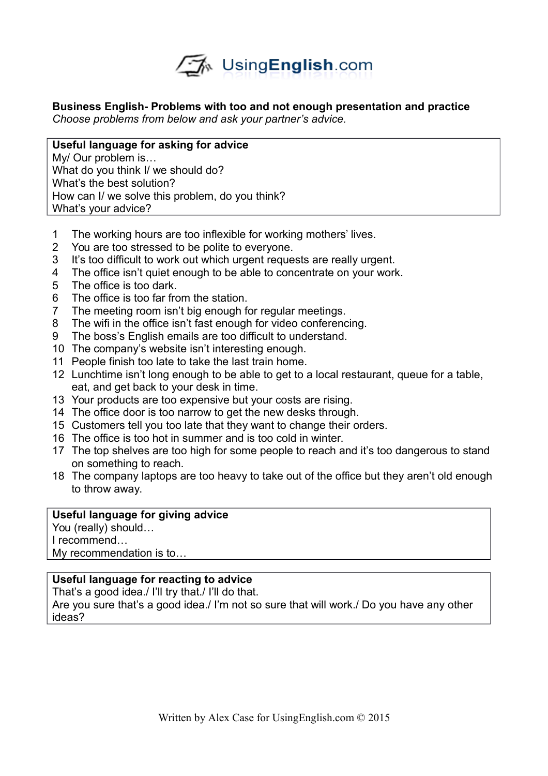

**Business English- Problems with too and not enough presentation and practice** *Choose problems from below and ask your partner's advice.* 

**Useful language for asking for advice** My/ Our problem is… What do you think I/ we should do? What's the best solution? How can I/ we solve this problem, do you think? What's your advice?

- 1 The working hours are too inflexible for working mothers' lives.
- 2 You are too stressed to be polite to everyone.
- 3 It's too difficult to work out which urgent requests are really urgent.
- 4 The office isn't quiet enough to be able to concentrate on your work.
- 5 The office is too dark.
- 6 The office is too far from the station.
- 7 The meeting room isn't big enough for regular meetings.
- 8 The wifi in the office isn't fast enough for video conferencing.
- 9 The boss's English emails are too difficult to understand.
- 10 The company's website isn't interesting enough.
- 11 People finish too late to take the last train home.
- 12 Lunchtime isn't long enough to be able to get to a local restaurant, queue for a table, eat, and get back to your desk in time.
- 13 Your products are too expensive but your costs are rising.
- 14 The office door is too narrow to get the new desks through.
- 15 Customers tell you too late that they want to change their orders.
- 16 The office is too hot in summer and is too cold in winter.
- 17 The top shelves are too high for some people to reach and it's too dangerous to stand on something to reach.
- 18 The company laptops are too heavy to take out of the office but they aren't old enough to throw away.

## **Useful language for giving advice**

You (really) should… I recommend… My recommendation is to…

## **Useful language for reacting to advice**

That's a good idea./ I'll try that./ I'll do that.

Are you sure that's a good idea./ I'm not so sure that will work./ Do you have any other ideas?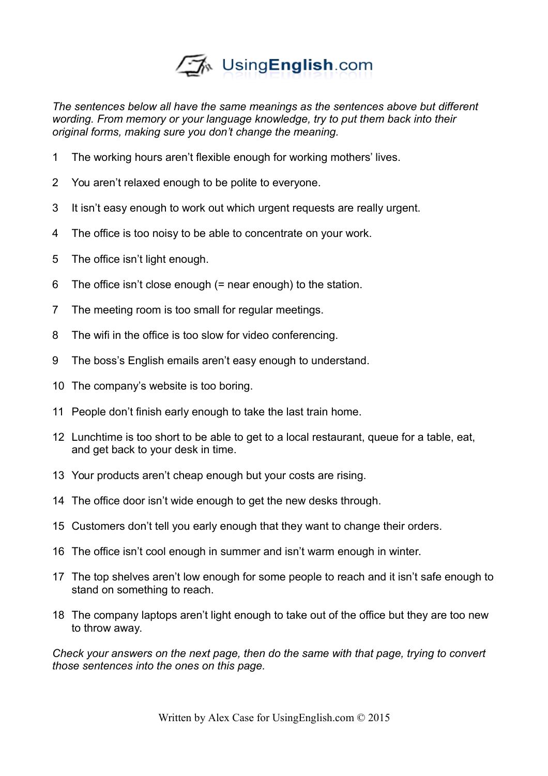

*The sentences below all have the same meanings as the sentences above but different wording. From memory or your language knowledge, try to put them back into their original forms, making sure you don't change the meaning.* 

- The working hours aren't flexible enough for working mothers' lives.
- You aren't relaxed enough to be polite to everyone.
- It isn't easy enough to work out which urgent requests are really urgent.
- The office is too noisy to be able to concentrate on your work.
- The office isn't light enough.
- The office isn't close enough (= near enough) to the station.
- The meeting room is too small for regular meetings.
- The wifi in the office is too slow for video conferencing.
- The boss's English emails aren't easy enough to understand.
- The company's website is too boring.
- People don't finish early enough to take the last train home.
- Lunchtime is too short to be able to get to a local restaurant, queue for a table, eat, and get back to your desk in time.
- Your products aren't cheap enough but your costs are rising.
- The office door isn't wide enough to get the new desks through.
- Customers don't tell you early enough that they want to change their orders.
- The office isn't cool enough in summer and isn't warm enough in winter.
- The top shelves aren't low enough for some people to reach and it isn't safe enough to stand on something to reach.
- The company laptops aren't light enough to take out of the office but they are too new to throw away.

*Check your answers on the next page, then do the same with that page, trying to convert those sentences into the ones on this page.*